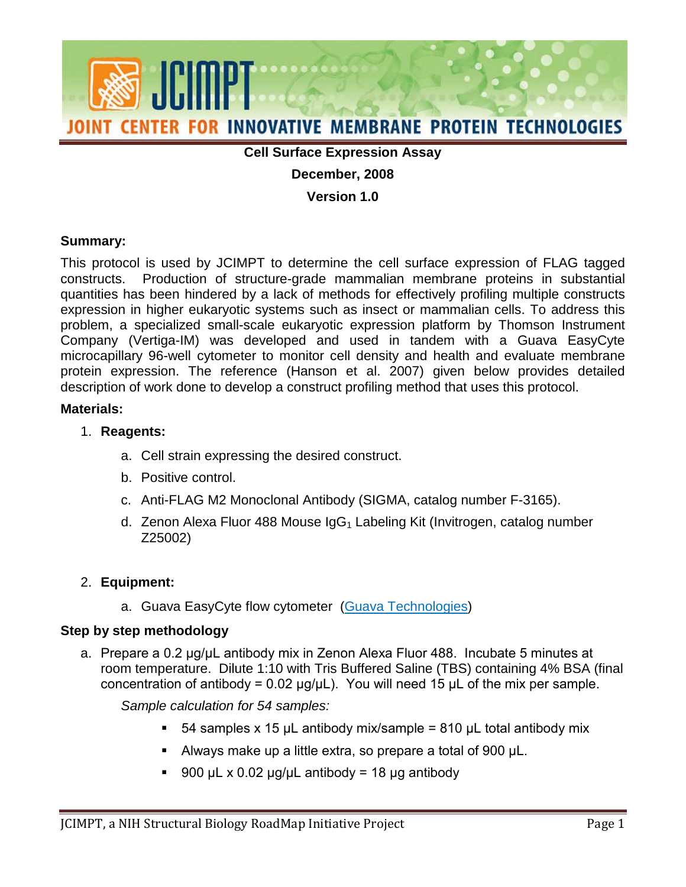

### **Cell Surface Expression Assay**

### **December, 2008**

**Version 1.0**

#### **Summary:**

 constructs. Production of structure-grade mammalian membrane proteins in substantial This protocol is used by JCIMPT to determine the cell surface expression of FLAG tagged quantities has been hindered by a lack of methods for effectively profiling multiple constructs expression in higher eukaryotic systems such as insect or mammalian cells. To address this problem, a specialized small-scale eukaryotic expression platform by Thomson Instrument Company (Vertiga-IM) was developed and used in tandem with a Guava EasyCyte microcapillary 96-well cytometer to monitor cell density and health and evaluate membrane protein expression. The reference (Hanson et al. 2007) given below provides detailed description of work done to develop a construct profiling method that uses this protocol.

#### **Materials:**

#### 1. **Reagents:**

- a. Cell strain expressing the desired construct.
- b. Positive control.
- c. Anti-FLAG M2 Monoclonal Antibody (SIGMA, catalog number F-3165).
- d. Zenon Alexa Fluor 488 Mouse  $\log G_1$  Labeling Kit (Invitrogen, catalog number Z25002)

# 2. **Equipment:**

a. Guava EasyCyte flow cytometer [\(Guava Technologies\)](http://guavatechnologies.com/cm/Life%20Science%20Research/Platforms/Home.html)

#### **Step by step methodology**

a. Prepare a 0.2 μg/μL antibody mix in Zenon Alexa Fluor 488. Incubate 5 minutes at concentration of antibody = 0.02 μg/μL). You will need 15 μL of the mix per sample. room temperature. Dilute 1:10 with Tris Buffered Saline (TBS) containing 4% BSA (final

*Sample calculation for 54 samples:* 

- $\blacksquare$  54 samples x 15 μL antibody mix/sample = 810 μL total antibody mix
- Always make up a little extra, so prepare a total of 900  $\mu$ L.
- 900 μL x 0.02 μg/μL antibody = 18 μg antibody